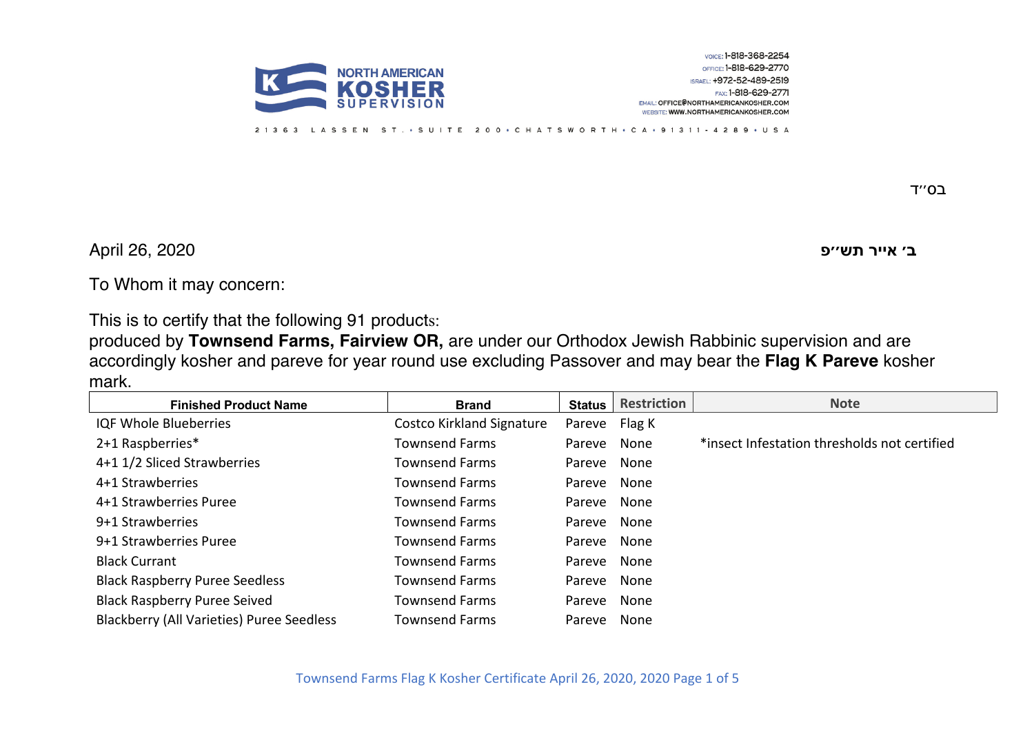

LASSEN ST. • SUITE 200 • CHATSWORTH • CA • 91311 - 4289 • USA  $21363$ 

בס״ד

**פ׳׳שת רייא ׳ב** 2020 26, April

To Whom it may concern:

This is to certify that the following 91 products:

produced by **Townsend Farms, Fairview OR,** are under our Orthodox Jewish Rabbinic supervision and are accordingly kosher and pareve for year round use excluding Passover and may bear the **Flag K Pareve** kosher mark.

| <b>Finished Product Name</b>                     | <b>Brand</b>              | <b>Status</b> | <b>Restriction</b> | <b>Note</b>                                  |
|--------------------------------------------------|---------------------------|---------------|--------------------|----------------------------------------------|
| <b>IQF Whole Blueberries</b>                     | Costco Kirkland Signature | Pareve Flag K |                    |                                              |
| 2+1 Raspberries*                                 | <b>Townsend Farms</b>     | Pareve        | None               | *insect Infestation thresholds not certified |
| 4+1 1/2 Sliced Strawberries                      | <b>Townsend Farms</b>     | Pareve None   |                    |                                              |
| 4+1 Strawberries                                 | <b>Townsend Farms</b>     | Pareve None   |                    |                                              |
| 4+1 Strawberries Puree                           | <b>Townsend Farms</b>     | Pareve None   |                    |                                              |
| 9+1 Strawberries                                 | <b>Townsend Farms</b>     | Pareve None   |                    |                                              |
| 9+1 Strawberries Puree                           | <b>Townsend Farms</b>     | Pareve None   |                    |                                              |
| <b>Black Currant</b>                             | <b>Townsend Farms</b>     | Pareve None   |                    |                                              |
| <b>Black Raspberry Puree Seedless</b>            | Townsend Farms            | Pareve None   |                    |                                              |
| <b>Black Raspberry Puree Seived</b>              | <b>Townsend Farms</b>     | Pareve        | None               |                                              |
| <b>Blackberry (All Varieties) Puree Seedless</b> | <b>Townsend Farms</b>     | Pareve None   |                    |                                              |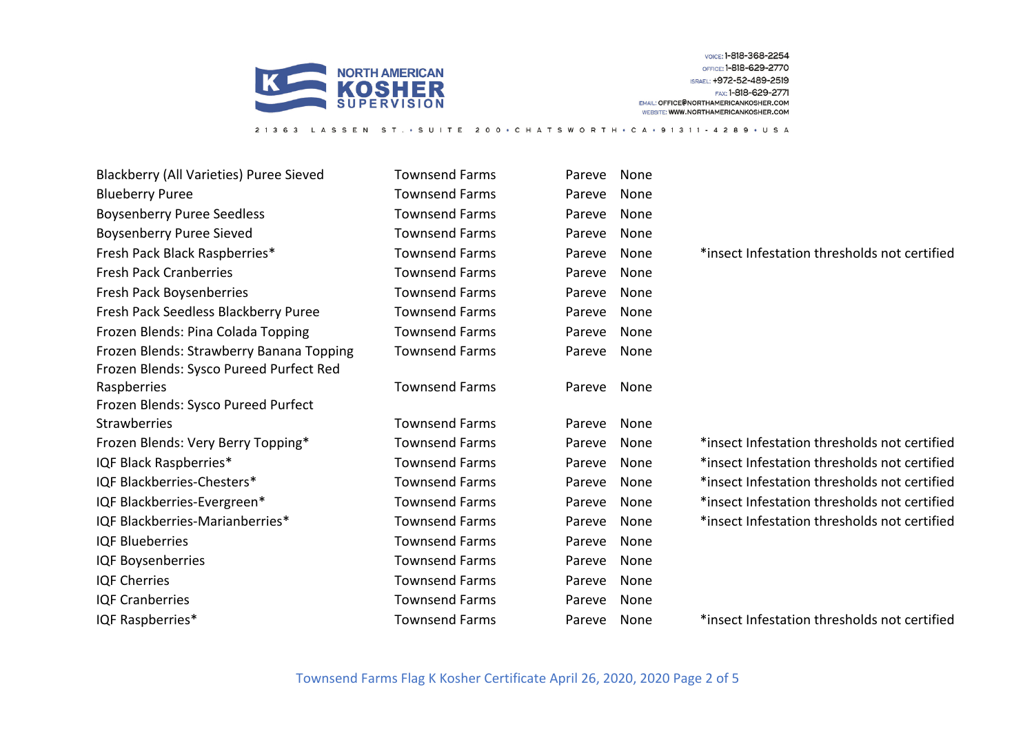

21363 LASSEN ST. · SUITE 200 · CHATSWORTH · CA · 91311 - 4289 · USA

| Blackberry (All Varieties) Puree Sieved  | <b>Townsend Farms</b> | Pareve | None |                                              |
|------------------------------------------|-----------------------|--------|------|----------------------------------------------|
| <b>Blueberry Puree</b>                   | <b>Townsend Farms</b> | Pareve | None |                                              |
| <b>Boysenberry Puree Seedless</b>        | <b>Townsend Farms</b> | Pareve | None |                                              |
| <b>Boysenberry Puree Sieved</b>          | <b>Townsend Farms</b> | Pareve | None |                                              |
| Fresh Pack Black Raspberries*            | <b>Townsend Farms</b> | Pareve | None | *insect Infestation thresholds not certified |
| <b>Fresh Pack Cranberries</b>            | <b>Townsend Farms</b> | Pareve | None |                                              |
| Fresh Pack Boysenberries                 | <b>Townsend Farms</b> | Pareve | None |                                              |
| Fresh Pack Seedless Blackberry Puree     | <b>Townsend Farms</b> | Pareve | None |                                              |
| Frozen Blends: Pina Colada Topping       | <b>Townsend Farms</b> | Pareve | None |                                              |
| Frozen Blends: Strawberry Banana Topping | <b>Townsend Farms</b> | Pareve | None |                                              |
| Frozen Blends: Sysco Pureed Purfect Red  |                       |        |      |                                              |
| Raspberries                              | <b>Townsend Farms</b> | Pareve | None |                                              |
| Frozen Blends: Sysco Pureed Purfect      |                       |        |      |                                              |
| Strawberries                             | <b>Townsend Farms</b> | Pareve | None |                                              |
| Frozen Blends: Very Berry Topping*       | <b>Townsend Farms</b> | Pareve | None | *insect Infestation thresholds not certified |
| IQF Black Raspberries*                   | <b>Townsend Farms</b> | Pareve | None | *insect Infestation thresholds not certified |
| IQF Blackberries-Chesters*               | <b>Townsend Farms</b> | Pareve | None | *insect Infestation thresholds not certified |
| IQF Blackberries-Evergreen*              | <b>Townsend Farms</b> | Pareve | None | *insect Infestation thresholds not certified |
| IQF Blackberries-Marianberries*          | <b>Townsend Farms</b> | Pareve | None | *insect Infestation thresholds not certified |
| <b>IQF Blueberries</b>                   | <b>Townsend Farms</b> | Pareve | None |                                              |
| IQF Boysenberries                        | <b>Townsend Farms</b> | Pareve | None |                                              |
| <b>IQF Cherries</b>                      | <b>Townsend Farms</b> | Pareve | None |                                              |
| <b>IQF Cranberries</b>                   | <b>Townsend Farms</b> | Pareve | None |                                              |
| IQF Raspberries*                         | <b>Townsend Farms</b> | Pareve | None | *insect Infestation thresholds not certified |

Townsend Farms Flag K Kosher Certificate April 26, 2020, 2020 Page 2 of 5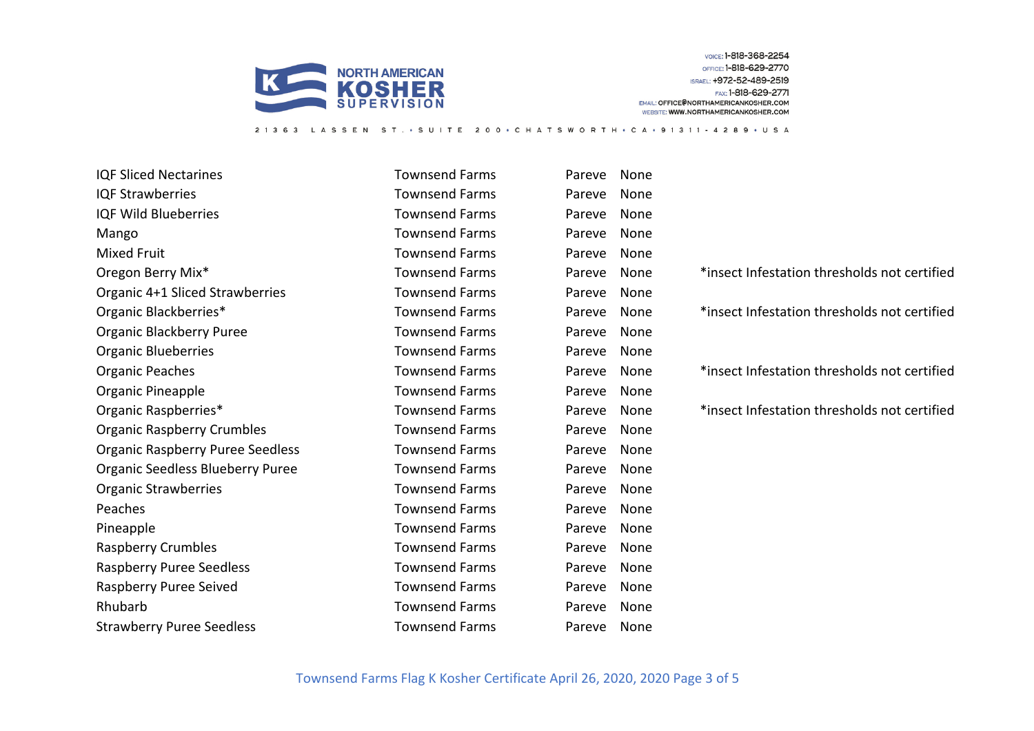

LASSEN ST. • SUITE 200 • CHATSWORTH • CA • 91311 - 4289 • USA

IQF Sliced Nectarines Townsend Farms Pareve None IQF Strawberries Townsend Farms Pareve None IQF Wild Blueberries Townsend Farms Pareve None Mango Townsend Farms Pareve None Mixed Fruit Townsend Farms Pareve None Oregon Berry Mix\* Townsend Farms Pareve None \*insect Infestation thresholds not certified Organic 4+1 Sliced Strawberries Townsend Farms Pareve None Organic Blackberries\* Townsend Farms Pareve None \*insect Infestation thresholds not certified Organic Blackberry Puree The Communication of Townsend Farms Pareve None Organic Blueberries Townsend Farms Pareve None Organic Peaches Townsend Farms Pareve None \*insect Infestation thresholds not certified Organic Pineapple Townsend Farms Pareve None Organic Raspberries\* Townsend Farms Pareve None \*insect Infestation thresholds not certified Organic Raspberry Crumbles Townsend Farms Pareve None Organic Raspberry Puree Seedless Townsend Farms Pareve None Organic Seedless Blueberry Puree Townsend Farms Pareve None Organic Strawberries **TOWIS** Townsend Farms Pareve None Peaches Townsend Farms Pareve None Pineapple **Townsend Farms** Pareve None Raspberry Crumbles **No. 2018** Townsend Farms Pareve None Raspberry Puree Seedless Townsend Farms Pareve None Raspberry Puree Seived **No. 2018** Townsend Farms Pareve None Rhubarb Townsend Farms Pareve None Strawberry Puree Seedless **Townsend Farms** Pareve None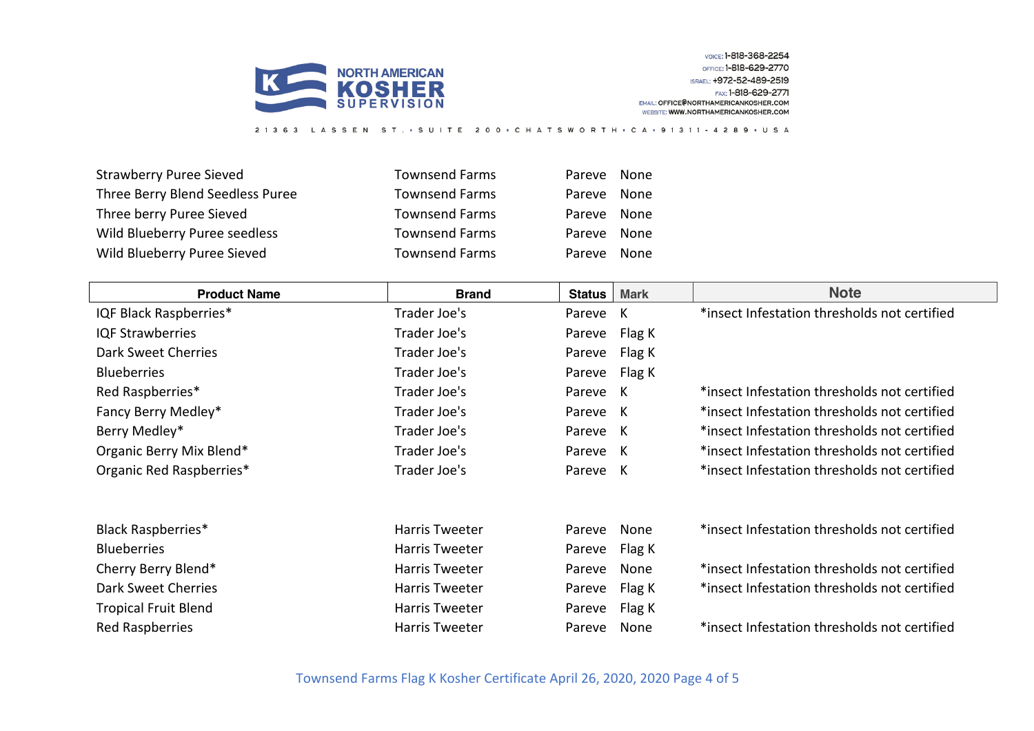

Strawberry Puree Sieved **Townsend Farms** Pareve None Three Berry Blend Seedless Puree **Townsend Farms** Pareve None Three berry Puree Sieved Townsend Farms Pareve None Wild Blueberry Puree seedless Townsend Farms Pareve None Wild Blueberry Puree Sieved Townsend Farms Pareve None

| <b>Product Name</b>         | <b>Brand</b>          | <b>Status</b> | <b>Mark</b> | <b>Note</b>                                  |
|-----------------------------|-----------------------|---------------|-------------|----------------------------------------------|
| IQF Black Raspberries*      | Trader Joe's          | Pareve        | K           | *insect Infestation thresholds not certified |
| <b>IQF Strawberries</b>     | Trader Joe's          | Pareve        | Flag K      |                                              |
| Dark Sweet Cherries         | Trader Joe's          | Pareve        | Flag K      |                                              |
| <b>Blueberries</b>          | Trader Joe's          | Pareve        | Flag K      |                                              |
| Red Raspberries*            | Trader Joe's          | Pareve K      |             | *insect Infestation thresholds not certified |
| Fancy Berry Medley*         | Trader Joe's          | Pareve K      |             | *insect Infestation thresholds not certified |
| Berry Medley*               | Trader Joe's          | Pareve K      |             | *insect Infestation thresholds not certified |
| Organic Berry Mix Blend*    | Trader Joe's          | Pareve K      |             | *insect Infestation thresholds not certified |
| Organic Red Raspberries*    | Trader Joe's          | Pareve K      |             | *insect Infestation thresholds not certified |
| <b>Black Raspberries*</b>   | <b>Harris Tweeter</b> | Pareve        | None        | *insect Infestation thresholds not certified |
| <b>Blueberries</b>          | <b>Harris Tweeter</b> | Pareve        | Flag K      |                                              |
| Cherry Berry Blend*         | Harris Tweeter        | Pareve        | None        | *insect Infestation thresholds not certified |
| Dark Sweet Cherries         | Harris Tweeter        | Pareve        | Flag K      | *insect Infestation thresholds not certified |
| <b>Tropical Fruit Blend</b> | Harris Tweeter        | Pareve        | Flag K      |                                              |
| <b>Red Raspberries</b>      | Harris Tweeter        | Pareve        | None        | *insect Infestation thresholds not certified |

21363 LASSEN ST. · SUITE 200 · CHATSWORTH · CA · 91311 - 4289 · USA